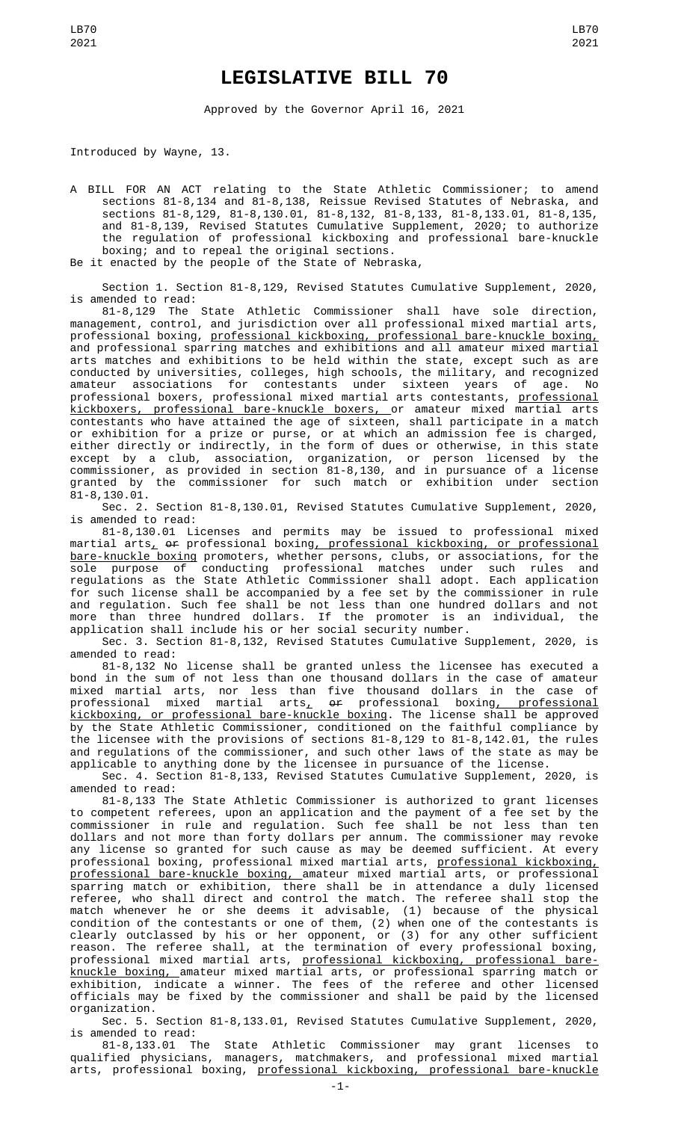## **LEGISLATIVE BILL 70**

Approved by the Governor April 16, 2021

Introduced by Wayne, 13.

A BILL FOR AN ACT relating to the State Athletic Commissioner; to amend sections 81-8,134 and 81-8,138, Reissue Revised Statutes of Nebraska, and sections 81-8,129, 81-8,130.01, 81-8,132, 81-8,133, 81-8,133.01, 81-8,135, and 81-8,139, Revised Statutes Cumulative Supplement, 2020; to authorize the regulation of professional kickboxing and professional bare-knuckle boxing; and to repeal the original sections. Be it enacted by the people of the State of Nebraska,

Section 1. Section 81-8,129, Revised Statutes Cumulative Supplement, 2020, is amended to read:

81-8,129 The State Athletic Commissioner shall have sole direction, management, control, and jurisdiction over all professional mixed martial arts, professional boxing, professional kickboxing, professional bare-knuckle boxing, and professional sparring matches and exhibitions and all amateur mixed martial arts matches and exhibitions to be held within the state, except such as are conducted by universities, colleges, high schools, the military, and recognized amateur associations for contestants under sixteen years of age. No professional boxers, professional mixed martial arts contestants, <u>professional</u> kickboxers, professional bare-knuckle boxers, or amateur mixed martial arts contestants who have attained the age of sixteen, shall participate in a match or exhibition for a prize or purse, or at which an admission fee is charged, either directly or indirectly, in the form of dues or otherwise, in this state except by a club, association, organization, or person licensed by the commissioner, as provided in section 81-8,130, and in pursuance of a license granted by the commissioner for such match or exhibition under section 81-8,130.01.

Sec. 2. Section 81-8,130.01, Revised Statutes Cumulative Supplement, 2020, is amended to read:

81-8,130.01 Licenses and permits may be issued to professional mixed martial arts<u>,</u> <del>or</del> professional boxin<u>g, professional kickboxing, or professional</u> bare-knuckle boxing promoters, whether persons, clubs, or associations, for the sole purpose of conducting professional matches under such rules and regulations as the State Athletic Commissioner shall adopt. Each application for such license shall be accompanied by a fee set by the commissioner in rule and regulation. Such fee shall be not less than one hundred dollars and not more than three hundred dollars. If the promoter is an individual, the application shall include his or her social security number.

Sec. 3. Section 81-8,132, Revised Statutes Cumulative Supplement, 2020, is amended to read:

81-8,132 No license shall be granted unless the licensee has executed a bond in the sum of not less than one thousand dollars in the case of amateur mixed martial arts, nor less than five thousand dollars in the case of professional mixed martial arts<u>,</u> <del>or</del> professional boxin<u>g, professional</u> kickboxing, or professional bare-knuckle boxing. The license shall be approved by the State Athletic Commissioner, conditioned on the faithful compliance by the licensee with the provisions of sections 81-8,129 to 81-8,142.01, the rules and regulations of the commissioner, and such other laws of the state as may be applicable to anything done by the licensee in pursuance of the license.

Sec. 4. Section 81-8,133, Revised Statutes Cumulative Supplement, 2020, is amended to read:

81-8,133 The State Athletic Commissioner is authorized to grant licenses to competent referees, upon an application and the payment of a fee set by the commissioner in rule and regulation. Such fee shall be not less than ten dollars and not more than forty dollars per annum. The commissioner may revoke any license so granted for such cause as may be deemed sufficient. At every professional boxing, professional mixed martial arts, <u>professional kickboxing,</u> professional bare-knuckle boxing, amateur mixed martial arts, or professional sparring match or exhibition, there shall be in attendance a duly licensed referee, who shall direct and control the match. The referee shall stop the match whenever he or she deems it advisable, (1) because of the physical condition of the contestants or one of them, (2) when one of the contestants is clearly outclassed by his or her opponent, or (3) for any other sufficient reason. The referee shall, at the termination of every professional boxing, professional mixed martial arts, <u>professional kickboxing, professional bare-</u> knuckle boxing, amateur mixed martial arts, or professional sparring match or exhibition, indicate a winner. The fees of the referee and other licensed officials may be fixed by the commissioner and shall be paid by the licensed organization.

Sec. 5. Section 81-8,133.01, Revised Statutes Cumulative Supplement, 2020, is amended to read:<br>81-8,133.01 The

State Athletic Commissioner may grant licenses to qualified physicians, managers, matchmakers, and professional mixed martial arts, professional boxing, professional kickboxing, professional bare-knuckle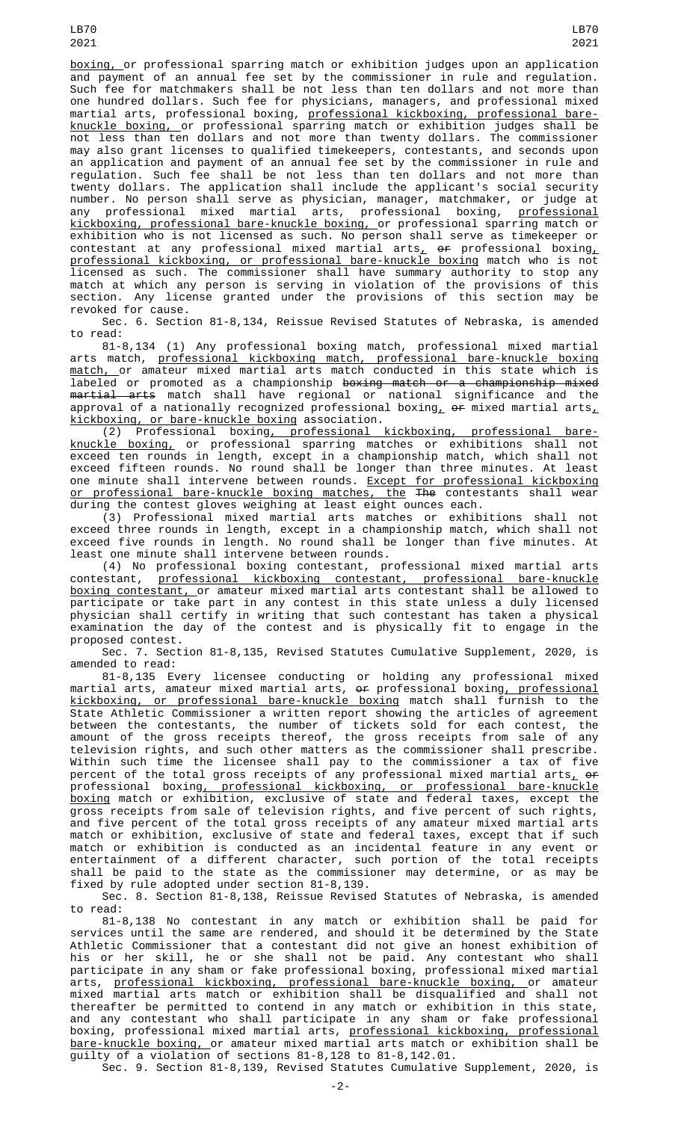boxing, or professional sparring match or exhibition judges upon an application and payment of an annual fee set by the commissioner in rule and regulation. Such fee for matchmakers shall be not less than ten dollars and not more than one hundred dollars. Such fee for physicians, managers, and professional mixed martial arts, professional boxing, professional kickboxing, professional bareknuckle boxing, or professional sparring match or exhibition judges shall be not less than ten dollars and not more than twenty dollars. The commissioner may also grant licenses to qualified timekeepers, contestants, and seconds upon an application and payment of an annual fee set by the commissioner in rule and regulation. Such fee shall be not less than ten dollars and not more than twenty dollars. The application shall include the applicant's social security number. No person shall serve as physician, manager, matchmaker, or judge at any professional mixed martial arts, professional boxing, <u>professional</u> kickboxing, professional bare-knuckle boxing, or professional sparring match or exhibition who is not licensed as such. No person shall serve as timekeeper or contestant at any professional mixed martial arts ${}_L$  o<del>r</del> professional boxing ${}_{\rm L}$ professional kickboxing, or professional bare-knuckle boxing match who is not licensed as such. The commissioner shall have summary authority to stop any match at which any person is serving in violation of the provisions of this section. Any license granted under the provisions of this section may be revoked for cause.

Sec. 6. Section 81-8,134, Reissue Revised Statutes of Nebraska, is amended to read:

81-8,134 (1) Any professional boxing match, professional mixed martial arts match, professional kickboxing match, professional bare-knuckle boxing match, or amateur mixed martial arts match conducted in this state which is labeled or promoted as a championship <del>boxing match or a championship mixe</del>d <del>martial arts</del> match shall have regional or national significance and the approval of a nationally recognized professional boxing,  $\theta$  mixed martial arts, kickboxing, or bare-knuckle boxing association.

(2) Professional boxing, professional kickboxing, professional bareknuckle boxing, or professional sparring matches or exhibitions shall not exceed ten rounds in length, except in a championship match, which shall not exceed fifteen rounds. No round shall be longer than three minutes. At least one minute shall intervene between rounds. <u>Except for professional kickboxing</u> or professional bare-knuckle boxing matches, the The contestants shall wear during the contest gloves weighing at least eight ounces each.

(3) Professional mixed martial arts matches or exhibitions shall not exceed three rounds in length, except in a championship match, which shall not exceed five rounds in length. No round shall be longer than five minutes. At least one minute shall intervene between rounds.

(4) No professional boxing contestant, professional mixed martial arts contestant, professional kickboxing contestant, professional bare-knuckle boxing contestant, or amateur mixed martial arts contestant shall be allowed to participate or take part in any contest in this state unless a duly licensed physician shall certify in writing that such contestant has taken a physical examination the day of the contest and is physically fit to engage in the proposed contest.

Sec. 7. Section 81-8,135, Revised Statutes Cumulative Supplement, 2020, is amended to read:

81-8,135 Every licensee conducting or holding any professional mixed martial arts, amateur mixed martial arts, <del>or</del> professional boxin<u>g, professional</u> kickboxing, or professional bare-knuckle boxing match shall furnish to the State Athletic Commissioner a written report showing the articles of agreement between the contestants, the number of tickets sold for each contest, the amount of the gross receipts thereof, the gross receipts from sale of any television rights, and such other matters as the commissioner shall prescribe. Within such time the licensee shall pay to the commissioner a tax of five percent of the total gross receipts of any professional mixed martial arts<u>,</u> <del>or</del> professional boxing<u>, professional kickboxing, or professional bare-knuckle</u> boxing match or exhibition, exclusive of state and federal taxes, except the gross receipts from sale of television rights, and five percent of such rights, and five percent of the total gross receipts of any amateur mixed martial arts match or exhibition, exclusive of state and federal taxes, except that if such match or exhibition is conducted as an incidental feature in any event or entertainment of a different character, such portion of the total receipts shall be paid to the state as the commissioner may determine, or as may be fixed by rule adopted under section 81-8,139.

Sec. 8. Section 81-8,138, Reissue Revised Statutes of Nebraska, is amended to read:

81-8,138 No contestant in any match or exhibition shall be paid for services until the same are rendered, and should it be determined by the State Athletic Commissioner that a contestant did not give an honest exhibition of his or her skill, he or she shall not be paid. Any contestant who shall participate in any sham or fake professional boxing, professional mixed martial arts, <u>professional kickboxing, professional bare-knuckle boxing, </u>or amateur mixed martial arts match or exhibition shall be disqualified and shall not thereafter be permitted to contend in any match or exhibition in this state, and any contestant who shall participate in any sham or fake professional boxing, professional mixed martial arts, <u>professional kickboxing, professional</u> bare-knuckle boxing, or amateur mixed martial arts match or exhibition shall be guilty of a violation of sections 81-8,128 to 81-8,142.01.

Sec. 9. Section 81-8,139, Revised Statutes Cumulative Supplement, 2020, is